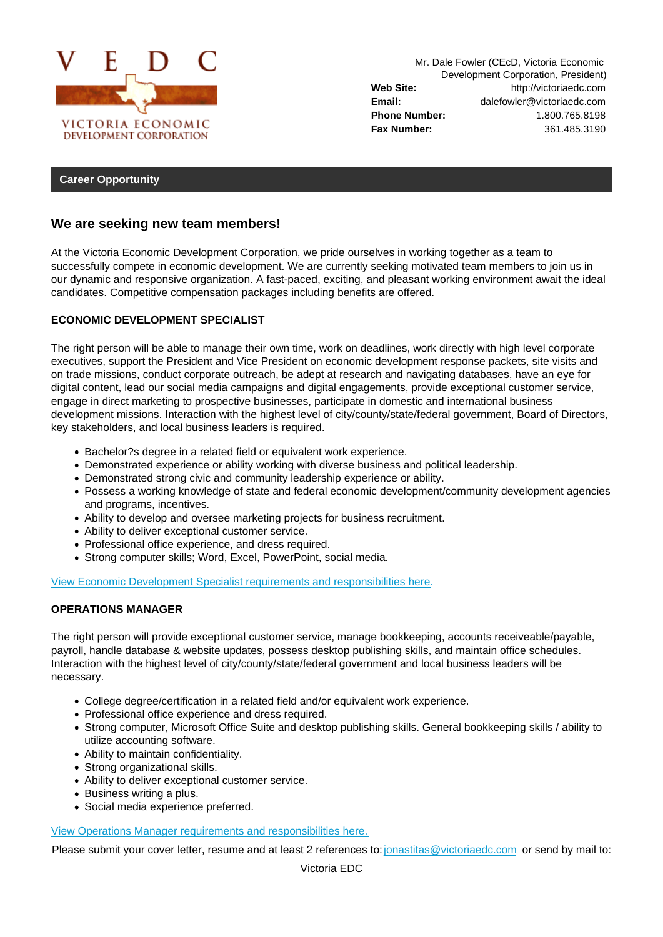Mr. Dale Fowler (CEcD, Victoria Economic Development Corporation, President) Web Site: http://victoriaedc.com Email: dalefowler@victoriaedc.com Phone Number: 1.800.765.8198 Fax Number: 361.485.3190

## Career Opportunity

# We are seeking new team members!

At the Victoria Economic Development Corporation, we pride ourselves in working together as a team to successfully compete in economic development. We are currently seeking motivated team members to join us in our dynamic and responsive organization. A fast-paced, exciting, and pleasant working environment await the ideal candidates. Competitive compensation packages including benefits are offered.

## ECONOMIC DEVELOPMENT SPECIALIST

The right person will be able to manage their own time, work on deadlines, work directly with high level corporate executives, support the President and Vice President on economic development response packets, site visits and on trade missions, conduct corporate outreach, be adept at research and navigating databases, have an eye for digital content, lead our social media campaigns and digital engagements, provide exceptional customer service, engage in direct marketing to prospective businesses, participate in domestic and international business development missions. Interaction with the highest level of city/county/state/federal government, Board of Directors, key stakeholders, and local business leaders is required.

- Bachelor?s degree in a related field or equivalent work experience.
- Demonstrated experience or ability working with diverse business and political leadership.
- Demonstrated strong civic and community leadership experience or ability.
- Possess a working knowledge of state and federal economic development/community development agencies and programs, incentives.
- Ability to develop and oversee marketing projects for business recruitment.
- Ability to deliver exceptional customer service.
- Professional office experience, and dress required.
- Strong computer skills; Word, Excel, PowerPoint, social media.

View Economic Development Specialist requirements and responsibilities here.

### OPERATIONS MANAGER

[The right person will provide exceptional customer service, manage bookkeepin](http://www.victoriaedc.com/sites/default/files/files/Victoria EDC Economic Development Specialist 2021.pdf)g, accounts receiveable/payable, payroll, handle database & website updates, possess desktop publishing skills, and maintain office schedules. Interaction with the highest level of city/county/state/federal government and local business leaders will be necessary.

- College degree/certification in a related field and/or equivalent work experience.
- Professional office experience and dress required.
- Strong computer, Microsoft Office Suite and desktop publishing skills. General bookkeeping skills / ability to utilize accounting software.
- Ability to maintain confidentiality.
- Strong organizational skills.
- Ability to deliver exceptional customer service.
- Business writing a plus.
- Social media experience preferred.

### View Operations Manager requirements and responsibilities here.

Please submit your cover letter, resume and at least 2 references to: jonastitas@victoriaedc.com or send by mail to: